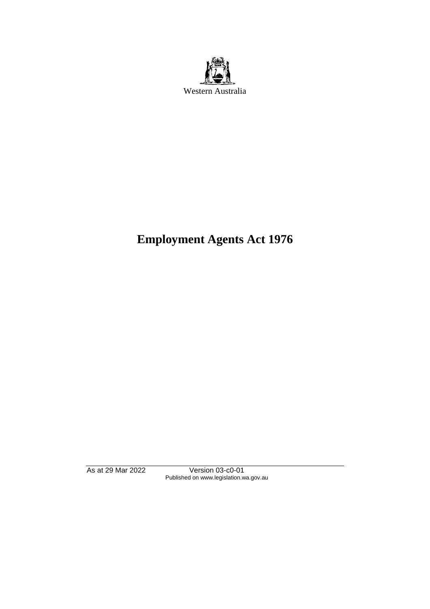

# **Employment Agents Act 1976**

As at 29 Mar 2022 Version 03-c0-01 Published on www.legislation.wa.gov.au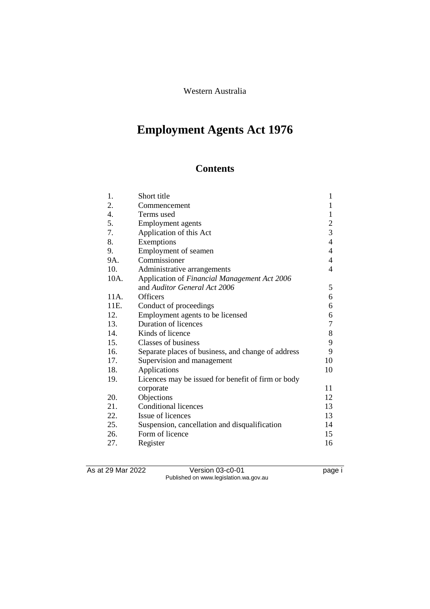Western Australia

# **Employment Agents Act 1976**

# **Contents**

| 1.   | Short title                                        | 1                |
|------|----------------------------------------------------|------------------|
| 2.   | Commencement                                       | $\mathbf{1}$     |
| 4.   | Terms used                                         | $\mathbf{1}$     |
| 5.   | Employment agents                                  | $\overline{c}$   |
| 7.   | Application of this Act                            | $\overline{3}$   |
| 8.   | Exemptions                                         | $\overline{4}$   |
| 9.   | Employment of seamen                               | $\overline{4}$   |
| 9A.  | Commissioner                                       | $\overline{4}$   |
| 10.  | Administrative arrangements                        | 4                |
| 10A. | Application of Financial Management Act 2006       |                  |
|      | and Auditor General Act 2006                       | 5                |
| 11A. | <b>Officers</b>                                    | 6                |
| 11E. | Conduct of proceedings                             | 6                |
| 12.  | Employment agents to be licensed                   | 6                |
| 13.  | <b>Duration of licences</b>                        | $\boldsymbol{7}$ |
| 14.  | Kinds of licence                                   | $8\,$            |
| 15.  | Classes of business                                | 9                |
| 16.  | Separate places of business, and change of address | 9                |
| 17.  | Supervision and management                         | 10               |
| 18.  | Applications                                       | 10               |
| 19.  | Licences may be issued for benefit of firm or body |                  |
|      | corporate                                          | 11               |
| 20.  | Objections                                         | 12               |
| 21.  | <b>Conditional licences</b>                        | 13               |
| 22.  | Issue of licences                                  | 13               |
| 25.  | Suspension, cancellation and disqualification      | 14               |
| 26.  | Form of licence                                    | 15               |
| 27.  | Register                                           | 16               |

As at 29 Mar 2022 Version 03-c0-01 page i Published on www.legislation.wa.gov.au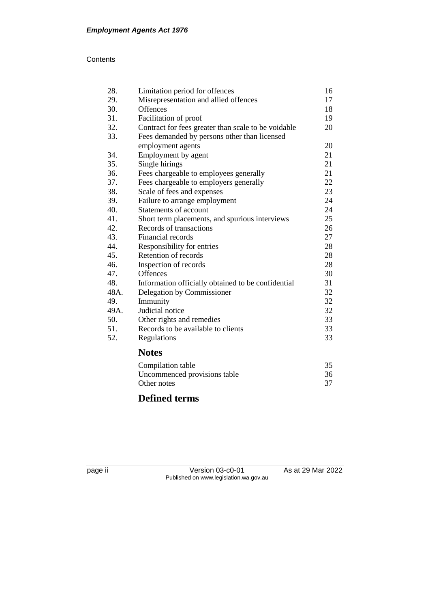#### **Contents**

| 28.  | Limitation period for offences                      | 16 |
|------|-----------------------------------------------------|----|
| 29.  | Misrepresentation and allied offences               | 17 |
| 30.  | <b>Offences</b>                                     | 18 |
| 31.  | Facilitation of proof                               | 19 |
| 32.  | Contract for fees greater than scale to be voidable | 20 |
| 33.  | Fees demanded by persons other than licensed        |    |
|      | employment agents                                   | 20 |
| 34.  | Employment by agent                                 | 21 |
| 35.  | Single hirings                                      | 21 |
| 36.  | Fees chargeable to employees generally              | 21 |
| 37.  | Fees chargeable to employers generally              | 22 |
| 38.  | Scale of fees and expenses                          | 23 |
| 39.  | Failure to arrange employment                       | 24 |
| 40.  | Statements of account                               | 24 |
| 41.  | Short term placements, and spurious interviews      | 25 |
| 42.  | Records of transactions                             | 26 |
| 43.  | Financial records                                   | 27 |
| 44.  | Responsibility for entries                          | 28 |
| 45.  | Retention of records                                | 28 |
| 46.  | Inspection of records                               | 28 |
| 47.  | <b>Offences</b>                                     | 30 |
| 48.  | Information officially obtained to be confidential  | 31 |
| 48A. | Delegation by Commissioner                          | 32 |
| 49.  | Immunity                                            | 32 |
| 49A. | Judicial notice                                     | 32 |
| 50.  | Other rights and remedies                           | 33 |
| 51.  | Records to be available to clients                  | 33 |
| 52.  | Regulations                                         | 33 |
|      | <b>Notes</b>                                        |    |
|      | Compilation table                                   | 35 |
|      | Uncommenced provisions table                        | 36 |
|      | Other notes                                         | 37 |

# **Defined terms**

| a Co<br>۔ |  |
|-----------|--|
| ∽         |  |
|           |  |

Version 03-c0-01 As at 29 Mar 2022 Published on www.legislation.wa.gov.au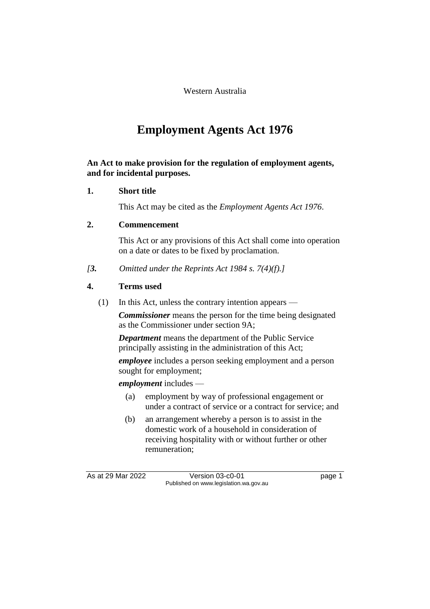Western Australia

# **Employment Agents Act 1976**

**An Act to make provision for the regulation of employment agents, and for incidental purposes.**

## **1. Short title**

This Act may be cited as the *Employment Agents Act 1976*.

## **2. Commencement**

This Act or any provisions of this Act shall come into operation on a date or dates to be fixed by proclamation.

*[3. Omitted under the Reprints Act 1984 s. 7(4)(f).]*

## **4. Terms used**

(1) In this Act, unless the contrary intention appears —

*Commissioner* means the person for the time being designated as the Commissioner under section 9A;

*Department* means the department of the Public Service principally assisting in the administration of this Act;

*employee* includes a person seeking employment and a person sought for employment;

*employment* includes —

- (a) employment by way of professional engagement or under a contract of service or a contract for service; and
- (b) an arrangement whereby a person is to assist in the domestic work of a household in consideration of receiving hospitality with or without further or other remuneration;

As at 29 Mar 2022 Version 03-c0-01 page 1 Published on www.legislation.wa.gov.au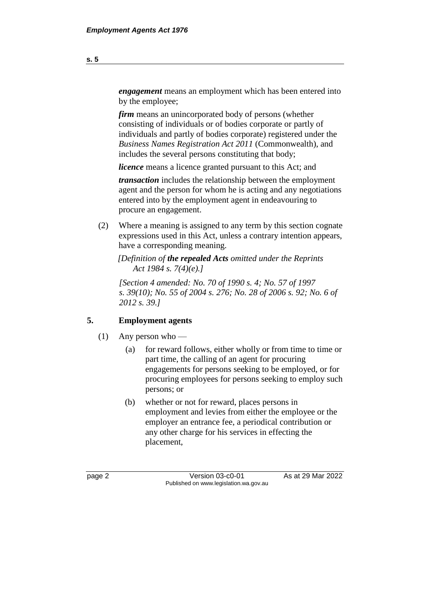*engagement* means an employment which has been entered into by the employee;

*firm* means an unincorporated body of persons (whether consisting of individuals or of bodies corporate or partly of individuals and partly of bodies corporate) registered under the *Business Names Registration Act 2011* (Commonwealth), and includes the several persons constituting that body;

*licence* means a licence granted pursuant to this Act; and

*transaction* includes the relationship between the employment agent and the person for whom he is acting and any negotiations entered into by the employment agent in endeavouring to procure an engagement.

(2) Where a meaning is assigned to any term by this section cognate expressions used in this Act, unless a contrary intention appears, have a corresponding meaning.

*[Definition of the repealed Acts omitted under the Reprints Act 1984 s. 7(4)(e).]*

*[Section 4 amended: No. 70 of 1990 s. 4; No. 57 of 1997 s. 39(10); No. 55 of 2004 s. 276; No. 28 of 2006 s. 92; No. 6 of 2012 s. 39.]* 

## **5. Employment agents**

- (1) Any person who
	- (a) for reward follows, either wholly or from time to time or part time, the calling of an agent for procuring engagements for persons seeking to be employed, or for procuring employees for persons seeking to employ such persons; or
	- (b) whether or not for reward, places persons in employment and levies from either the employee or the employer an entrance fee, a periodical contribution or any other charge for his services in effecting the placement,

page 2 **Version 03-c0-01** As at 29 Mar 2022 Published on www.legislation.wa.gov.au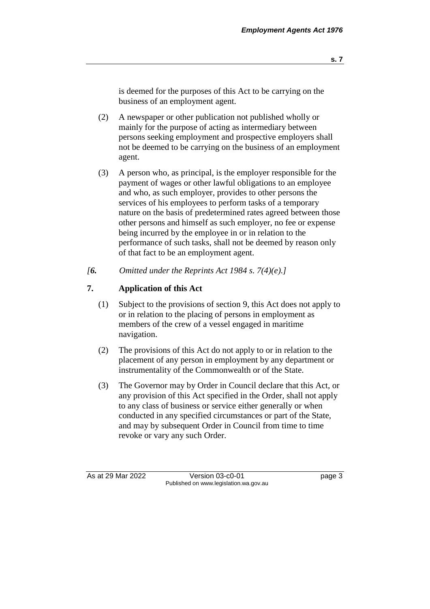- (2) A newspaper or other publication not published wholly or mainly for the purpose of acting as intermediary between persons seeking employment and prospective employers shall not be deemed to be carrying on the business of an employment agent.
- (3) A person who, as principal, is the employer responsible for the payment of wages or other lawful obligations to an employee and who, as such employer, provides to other persons the services of his employees to perform tasks of a temporary nature on the basis of predetermined rates agreed between those other persons and himself as such employer, no fee or expense being incurred by the employee in or in relation to the performance of such tasks, shall not be deemed by reason only of that fact to be an employment agent.
- *[6. Omitted under the Reprints Act 1984 s. 7(4)(e).]*

## **7. Application of this Act**

- (1) Subject to the provisions of section 9, this Act does not apply to or in relation to the placing of persons in employment as members of the crew of a vessel engaged in maritime navigation.
- (2) The provisions of this Act do not apply to or in relation to the placement of any person in employment by any department or instrumentality of the Commonwealth or of the State.
- (3) The Governor may by Order in Council declare that this Act, or any provision of this Act specified in the Order, shall not apply to any class of business or service either generally or when conducted in any specified circumstances or part of the State, and may by subsequent Order in Council from time to time revoke or vary any such Order.

As at 29 Mar 2022 Version 03-c0-01 page 3 Published on www.legislation.wa.gov.au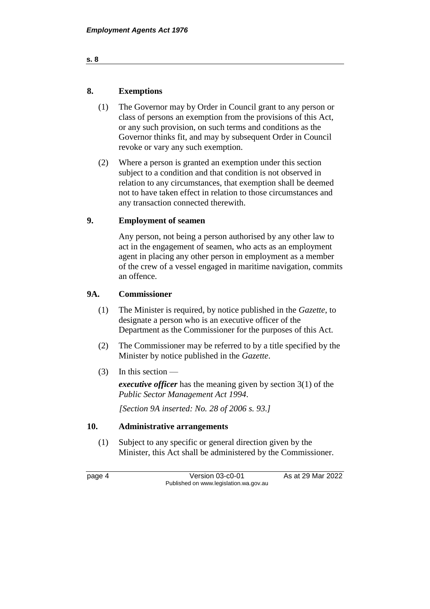| 8. | <b>Exemptions</b> |
|----|-------------------|
|    |                   |

- (1) The Governor may by Order in Council grant to any person or class of persons an exemption from the provisions of this Act, or any such provision, on such terms and conditions as the Governor thinks fit, and may by subsequent Order in Council revoke or vary any such exemption.
- (2) Where a person is granted an exemption under this section subject to a condition and that condition is not observed in relation to any circumstances, that exemption shall be deemed not to have taken effect in relation to those circumstances and any transaction connected therewith.

## **9. Employment of seamen**

Any person, not being a person authorised by any other law to act in the engagement of seamen, who acts as an employment agent in placing any other person in employment as a member of the crew of a vessel engaged in maritime navigation, commits an offence.

## **9A. Commissioner**

- (1) The Minister is required, by notice published in the *Gazette*, to designate a person who is an executive officer of the Department as the Commissioner for the purposes of this Act.
- (2) The Commissioner may be referred to by a title specified by the Minister by notice published in the *Gazette*.
- (3) In this section —

*executive officer* has the meaning given by section 3(1) of the *Public Sector Management Act 1994*.

*[Section 9A inserted: No. 28 of 2006 s. 93.]*

#### **10. Administrative arrangements**

(1) Subject to any specific or general direction given by the Minister, this Act shall be administered by the Commissioner.

page 4 Version 03-c0-01 As at 29 Mar 2022 Published on www.legislation.wa.gov.au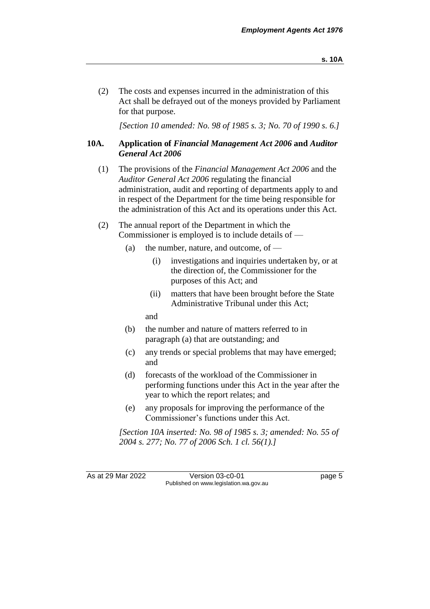(2) The costs and expenses incurred in the administration of this Act shall be defrayed out of the moneys provided by Parliament for that purpose.

*[Section 10 amended: No. 98 of 1985 s. 3; No. 70 of 1990 s. 6.]* 

## **10A. Application of** *Financial Management Act 2006* **and** *Auditor General Act 2006*

- (1) The provisions of the *Financial Management Act 2006* and the *Auditor General Act 2006* regulating the financial administration, audit and reporting of departments apply to and in respect of the Department for the time being responsible for the administration of this Act and its operations under this Act.
- (2) The annual report of the Department in which the Commissioner is employed is to include details of —
	- (a) the number, nature, and outcome, of  $-$ 
		- (i) investigations and inquiries undertaken by, or at the direction of, the Commissioner for the purposes of this Act; and
		- (ii) matters that have been brought before the State Administrative Tribunal under this Act;

and

- (b) the number and nature of matters referred to in paragraph (a) that are outstanding; and
- (c) any trends or special problems that may have emerged; and
- (d) forecasts of the workload of the Commissioner in performing functions under this Act in the year after the year to which the report relates; and
- (e) any proposals for improving the performance of the Commissioner's functions under this Act.

*[Section 10A inserted: No. 98 of 1985 s. 3; amended: No. 55 of 2004 s. 277; No. 77 of 2006 Sch. 1 cl. 56(1).]* 

As at 29 Mar 2022 Version 03-c0-01 Page 5 Published on www.legislation.wa.gov.au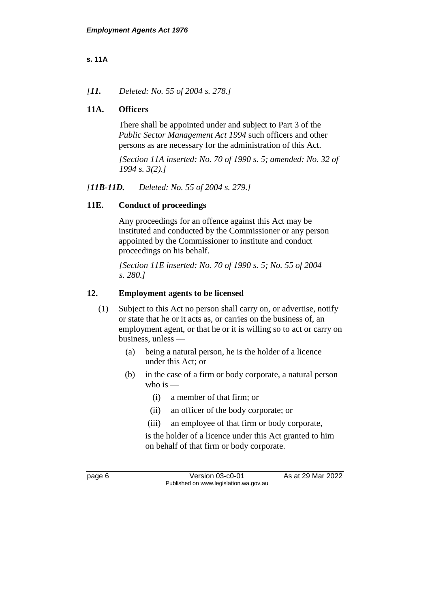### **s. 11A**

*[11. Deleted: No. 55 of 2004 s. 278.]*

## **11A. Officers**

There shall be appointed under and subject to Part 3 of the *Public Sector Management Act 1994* such officers and other persons as are necessary for the administration of this Act.

*[Section 11A inserted: No. 70 of 1990 s. 5; amended: No. 32 of 1994 s. 3(2).]* 

*[11B-11D. Deleted: No. 55 of 2004 s. 279.]*

## **11E. Conduct of proceedings**

Any proceedings for an offence against this Act may be instituted and conducted by the Commissioner or any person appointed by the Commissioner to institute and conduct proceedings on his behalf.

*[Section 11E inserted: No. 70 of 1990 s. 5; No. 55 of 2004 s. 280.]* 

## **12. Employment agents to be licensed**

- (1) Subject to this Act no person shall carry on, or advertise, notify or state that he or it acts as, or carries on the business of, an employment agent, or that he or it is willing so to act or carry on business, unless —
	- (a) being a natural person, he is the holder of a licence under this Act; or
	- (b) in the case of a firm or body corporate, a natural person who is  $-$ 
		- (i) a member of that firm; or
		- (ii) an officer of the body corporate; or
		- (iii) an employee of that firm or body corporate,

is the holder of a licence under this Act granted to him on behalf of that firm or body corporate.

page 6 Version 03-c0-01 As at 29 Mar 2022 Published on www.legislation.wa.gov.au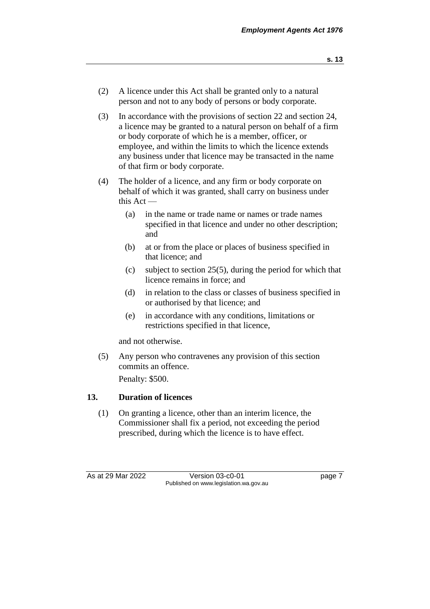- (2) A licence under this Act shall be granted only to a natural person and not to any body of persons or body corporate.
- (3) In accordance with the provisions of section 22 and section 24, a licence may be granted to a natural person on behalf of a firm or body corporate of which he is a member, officer, or employee, and within the limits to which the licence extends any business under that licence may be transacted in the name of that firm or body corporate.
- (4) The holder of a licence, and any firm or body corporate on behalf of which it was granted, shall carry on business under this Act —
	- (a) in the name or trade name or names or trade names specified in that licence and under no other description; and
	- (b) at or from the place or places of business specified in that licence; and
	- (c) subject to section 25(5), during the period for which that licence remains in force; and
	- (d) in relation to the class or classes of business specified in or authorised by that licence; and
	- (e) in accordance with any conditions, limitations or restrictions specified in that licence,

and not otherwise.

(5) Any person who contravenes any provision of this section commits an offence.

Penalty: \$500.

## **13. Duration of licences**

(1) On granting a licence, other than an interim licence, the Commissioner shall fix a period, not exceeding the period prescribed, during which the licence is to have effect.

As at 29 Mar 2022 Version 03-c0-01 page 7 Published on www.legislation.wa.gov.au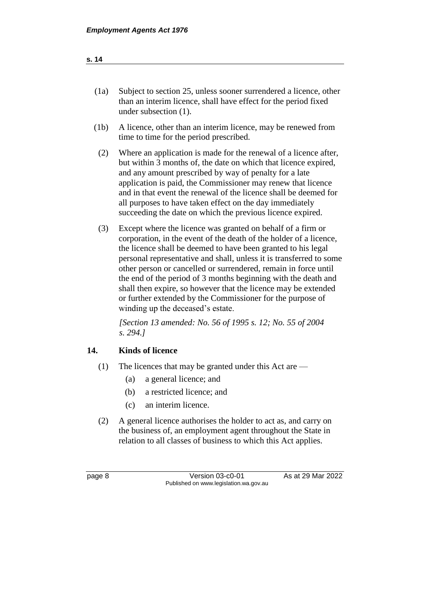| (1a) | Subject to section 25, unless sooner surrendered a licence, other |
|------|-------------------------------------------------------------------|
|      | than an interim licence, shall have effect for the period fixed   |
|      | under subsection $(1)$ .                                          |

- (1b) A licence, other than an interim licence, may be renewed from time to time for the period prescribed.
- (2) Where an application is made for the renewal of a licence after, but within 3 months of, the date on which that licence expired, and any amount prescribed by way of penalty for a late application is paid, the Commissioner may renew that licence and in that event the renewal of the licence shall be deemed for all purposes to have taken effect on the day immediately succeeding the date on which the previous licence expired.
- (3) Except where the licence was granted on behalf of a firm or corporation, in the event of the death of the holder of a licence, the licence shall be deemed to have been granted to his legal personal representative and shall, unless it is transferred to some other person or cancelled or surrendered, remain in force until the end of the period of 3 months beginning with the death and shall then expire, so however that the licence may be extended or further extended by the Commissioner for the purpose of winding up the deceased's estate.

*[Section 13 amended: No. 56 of 1995 s. 12; No. 55 of 2004 s. 294.]* 

## **14. Kinds of licence**

- (1) The licences that may be granted under this Act are
	- (a) a general licence; and
	- (b) a restricted licence; and
	- (c) an interim licence.
- (2) A general licence authorises the holder to act as, and carry on the business of, an employment agent throughout the State in relation to all classes of business to which this Act applies.

page 8 Version 03-c0-01 As at 29 Mar 2022 Published on www.legislation.wa.gov.au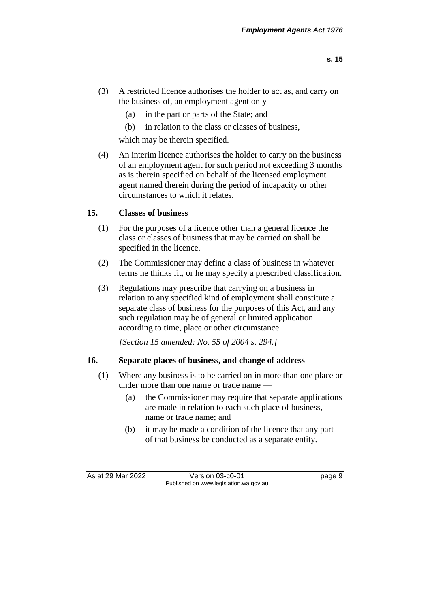- (3) A restricted licence authorises the holder to act as, and carry on the business of, an employment agent only —
	- (a) in the part or parts of the State; and
	- (b) in relation to the class or classes of business,

which may be therein specified.

(4) An interim licence authorises the holder to carry on the business of an employment agent for such period not exceeding 3 months as is therein specified on behalf of the licensed employment agent named therein during the period of incapacity or other circumstances to which it relates.

## **15. Classes of business**

- (1) For the purposes of a licence other than a general licence the class or classes of business that may be carried on shall be specified in the licence.
- (2) The Commissioner may define a class of business in whatever terms he thinks fit, or he may specify a prescribed classification.
- (3) Regulations may prescribe that carrying on a business in relation to any specified kind of employment shall constitute a separate class of business for the purposes of this Act, and any such regulation may be of general or limited application according to time, place or other circumstance.

*[Section 15 amended: No. 55 of 2004 s. 294.]*

## **16. Separate places of business, and change of address**

- (1) Where any business is to be carried on in more than one place or under more than one name or trade name —
	- (a) the Commissioner may require that separate applications are made in relation to each such place of business, name or trade name; and
	- (b) it may be made a condition of the licence that any part of that business be conducted as a separate entity.

As at 29 Mar 2022 Version 03-c0-01 page 9 Published on www.legislation.wa.gov.au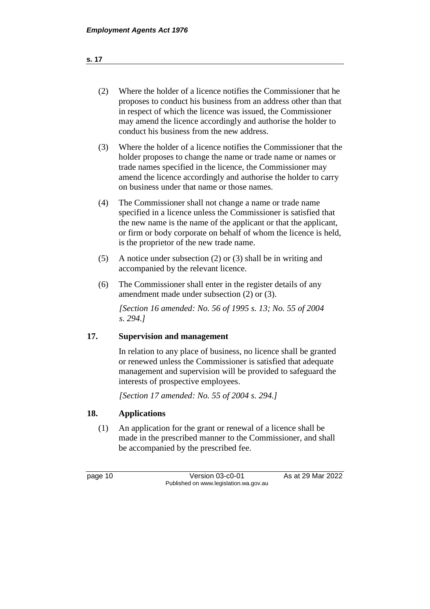## (2) Where the holder of a licence notifies the Commissioner that he proposes to conduct his business from an address other than that in respect of which the licence was issued, the Commissioner may amend the licence accordingly and authorise the holder to conduct his business from the new address.

- (3) Where the holder of a licence notifies the Commissioner that the holder proposes to change the name or trade name or names or trade names specified in the licence, the Commissioner may amend the licence accordingly and authorise the holder to carry on business under that name or those names.
- (4) The Commissioner shall not change a name or trade name specified in a licence unless the Commissioner is satisfied that the new name is the name of the applicant or that the applicant, or firm or body corporate on behalf of whom the licence is held, is the proprietor of the new trade name.
- (5) A notice under subsection (2) or (3) shall be in writing and accompanied by the relevant licence.
- (6) The Commissioner shall enter in the register details of any amendment made under subsection (2) or (3).

*[Section 16 amended: No. 56 of 1995 s. 13; No. 55 of 2004 s. 294.]* 

## **17. Supervision and management**

In relation to any place of business, no licence shall be granted or renewed unless the Commissioner is satisfied that adequate management and supervision will be provided to safeguard the interests of prospective employees.

*[Section 17 amended: No. 55 of 2004 s. 294.]*

## **18. Applications**

(1) An application for the grant or renewal of a licence shall be made in the prescribed manner to the Commissioner, and shall be accompanied by the prescribed fee.

page 10 Version 03-c0-01 As at 29 Mar 2022 Published on www.legislation.wa.gov.au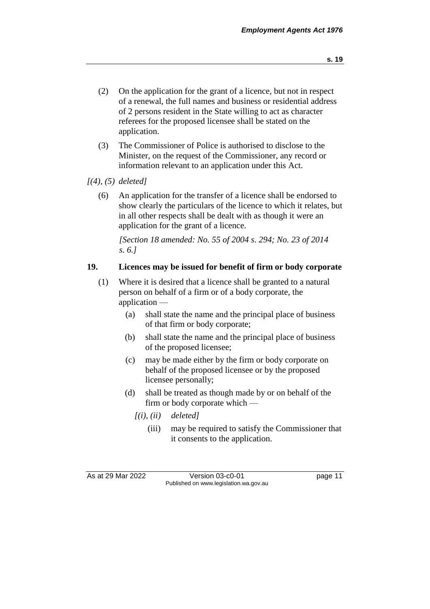- (2) On the application for the grant of a licence, but not in respect of a renewal, the full names and business or residential address of 2 persons resident in the State willing to act as character referees for the proposed licensee shall be stated on the application.
- (3) The Commissioner of Police is authorised to disclose to the Minister, on the request of the Commissioner, any record or information relevant to an application under this Act.
- *[(4), (5) deleted]*
	- (6) An application for the transfer of a licence shall be endorsed to show clearly the particulars of the licence to which it relates, but in all other respects shall be dealt with as though it were an application for the grant of a licence.

*[Section 18 amended: No. 55 of 2004 s. 294; No. 23 of 2014 s. 6.]*

## **19. Licences may be issued for benefit of firm or body corporate**

- (1) Where it is desired that a licence shall be granted to a natural person on behalf of a firm or of a body corporate, the application —
	- (a) shall state the name and the principal place of business of that firm or body corporate;
	- (b) shall state the name and the principal place of business of the proposed licensee;
	- (c) may be made either by the firm or body corporate on behalf of the proposed licensee or by the proposed licensee personally;
	- (d) shall be treated as though made by or on behalf of the firm or body corporate which —
		- *[(i), (ii) deleted]*
			- (iii) may be required to satisfy the Commissioner that it consents to the application.

As at 29 Mar 2022 Version 03-c0-01 page 11 Published on www.legislation.wa.gov.au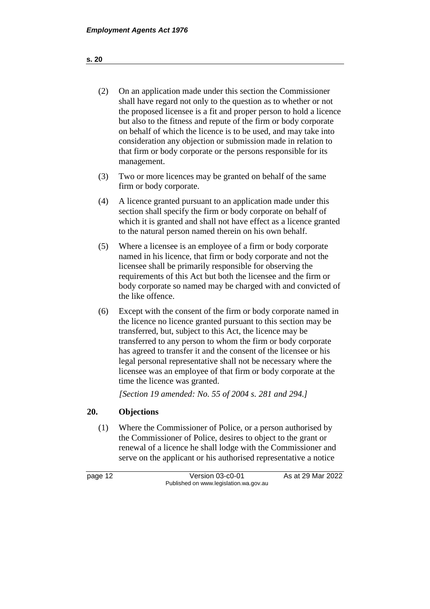- (2) On an application made under this section the Commissioner shall have regard not only to the question as to whether or not the proposed licensee is a fit and proper person to hold a licence but also to the fitness and repute of the firm or body corporate on behalf of which the licence is to be used, and may take into consideration any objection or submission made in relation to that firm or body corporate or the persons responsible for its management.
- (3) Two or more licences may be granted on behalf of the same firm or body corporate.
- (4) A licence granted pursuant to an application made under this section shall specify the firm or body corporate on behalf of which it is granted and shall not have effect as a licence granted to the natural person named therein on his own behalf.
- (5) Where a licensee is an employee of a firm or body corporate named in his licence, that firm or body corporate and not the licensee shall be primarily responsible for observing the requirements of this Act but both the licensee and the firm or body corporate so named may be charged with and convicted of the like offence.
- (6) Except with the consent of the firm or body corporate named in the licence no licence granted pursuant to this section may be transferred, but, subject to this Act, the licence may be transferred to any person to whom the firm or body corporate has agreed to transfer it and the consent of the licensee or his legal personal representative shall not be necessary where the licensee was an employee of that firm or body corporate at the time the licence was granted.

*[Section 19 amended: No. 55 of 2004 s. 281 and 294.]*

## **20. Objections**

(1) Where the Commissioner of Police, or a person authorised by the Commissioner of Police, desires to object to the grant or renewal of a licence he shall lodge with the Commissioner and serve on the applicant or his authorised representative a notice

page 12 Version 03-c0-01 As at 29 Mar 2022 Published on www.legislation.wa.gov.au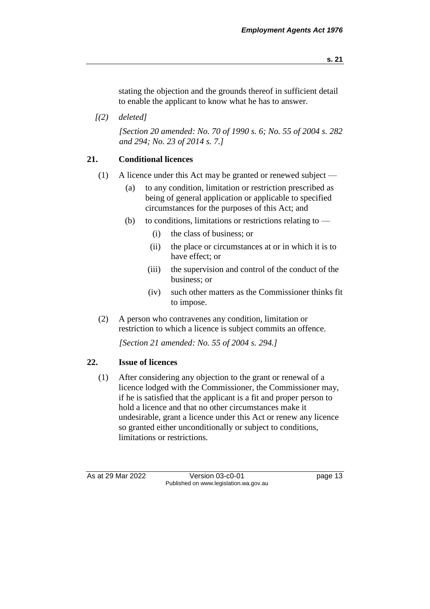stating the objection and the grounds thereof in sufficient detail to enable the applicant to know what he has to answer.

*[(2) deleted]*

*[Section 20 amended: No. 70 of 1990 s. 6; No. 55 of 2004 s. 282 and 294; No. 23 of 2014 s. 7.]* 

## **21. Conditional licences**

- (1) A licence under this Act may be granted or renewed subject
	- (a) to any condition, limitation or restriction prescribed as being of general application or applicable to specified circumstances for the purposes of this Act; and
	- (b) to conditions, limitations or restrictions relating to  $-$ 
		- (i) the class of business; or
		- (ii) the place or circumstances at or in which it is to have effect; or
		- (iii) the supervision and control of the conduct of the business; or
		- (iv) such other matters as the Commissioner thinks fit to impose.
- (2) A person who contravenes any condition, limitation or restriction to which a licence is subject commits an offence.

*[Section 21 amended: No. 55 of 2004 s. 294.]*

#### **22. Issue of licences**

(1) After considering any objection to the grant or renewal of a licence lodged with the Commissioner, the Commissioner may, if he is satisfied that the applicant is a fit and proper person to hold a licence and that no other circumstances make it undesirable, grant a licence under this Act or renew any licence so granted either unconditionally or subject to conditions, limitations or restrictions.

As at 29 Mar 2022 Version 03-c0-01 page 13 Published on www.legislation.wa.gov.au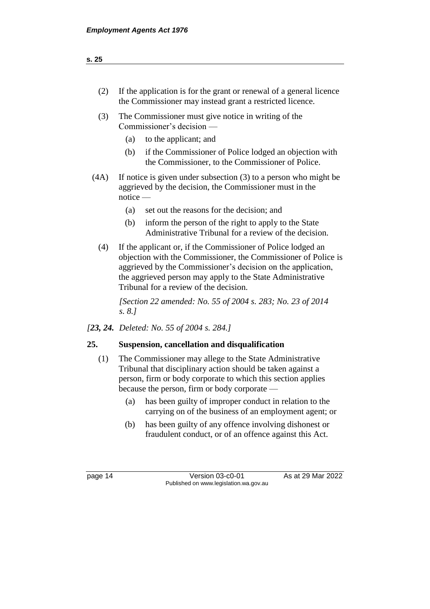- (2) If the application is for the grant or renewal of a general licence the Commissioner may instead grant a restricted licence.
- (3) The Commissioner must give notice in writing of the Commissioner's decision —
	- (a) to the applicant; and
	- (b) if the Commissioner of Police lodged an objection with the Commissioner, to the Commissioner of Police.
- (4A) If notice is given under subsection (3) to a person who might be aggrieved by the decision, the Commissioner must in the notice —
	- (a) set out the reasons for the decision; and
	- (b) inform the person of the right to apply to the State Administrative Tribunal for a review of the decision.
	- (4) If the applicant or, if the Commissioner of Police lodged an objection with the Commissioner, the Commissioner of Police is aggrieved by the Commissioner's decision on the application, the aggrieved person may apply to the State Administrative Tribunal for a review of the decision.

*[Section 22 amended: No. 55 of 2004 s. 283; No. 23 of 2014 s. 8.]*

*[23, 24. Deleted: No. 55 of 2004 s. 284.]*

## **25. Suspension, cancellation and disqualification**

- (1) The Commissioner may allege to the State Administrative Tribunal that disciplinary action should be taken against a person, firm or body corporate to which this section applies because the person, firm or body corporate —
	- (a) has been guilty of improper conduct in relation to the carrying on of the business of an employment agent; or
	- (b) has been guilty of any offence involving dishonest or fraudulent conduct, or of an offence against this Act.

page 14 Version 03-c0-01 As at 29 Mar 2022 Published on www.legislation.wa.gov.au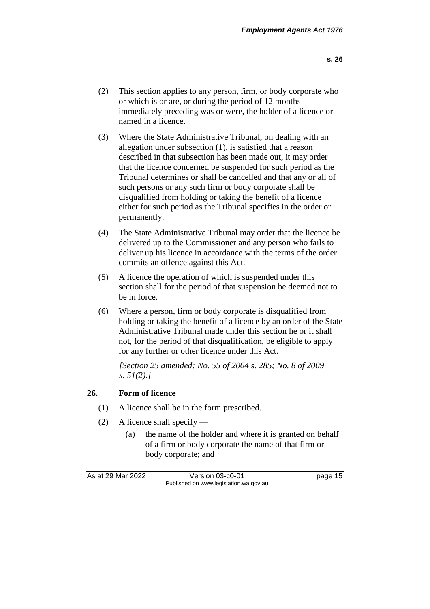- (2) This section applies to any person, firm, or body corporate who or which is or are, or during the period of 12 months immediately preceding was or were, the holder of a licence or named in a licence.
- (3) Where the State Administrative Tribunal, on dealing with an allegation under subsection (1), is satisfied that a reason described in that subsection has been made out, it may order that the licence concerned be suspended for such period as the Tribunal determines or shall be cancelled and that any or all of such persons or any such firm or body corporate shall be disqualified from holding or taking the benefit of a licence either for such period as the Tribunal specifies in the order or permanently.
- (4) The State Administrative Tribunal may order that the licence be delivered up to the Commissioner and any person who fails to deliver up his licence in accordance with the terms of the order commits an offence against this Act.
- (5) A licence the operation of which is suspended under this section shall for the period of that suspension be deemed not to be in force.
- (6) Where a person, firm or body corporate is disqualified from holding or taking the benefit of a licence by an order of the State Administrative Tribunal made under this section he or it shall not, for the period of that disqualification, be eligible to apply for any further or other licence under this Act.

*[Section 25 amended: No. 55 of 2004 s. 285; No. 8 of 2009 s. 51(2).]*

## **26. Form of licence**

- (1) A licence shall be in the form prescribed.
- (2) A licence shall specify
	- (a) the name of the holder and where it is granted on behalf of a firm or body corporate the name of that firm or body corporate; and

As at 29 Mar 2022 Version 03-c0-01 page 15 Published on www.legislation.wa.gov.au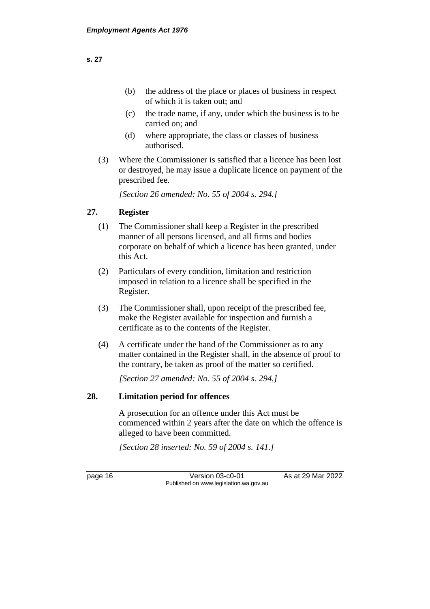- (c) the trade name, if any, under which the business is to be carried on; and
- (d) where appropriate, the class or classes of business authorised.
- (3) Where the Commissioner is satisfied that a licence has been lost or destroyed, he may issue a duplicate licence on payment of the prescribed fee.

*[Section 26 amended: No. 55 of 2004 s. 294.]*

## **27. Register**

- (1) The Commissioner shall keep a Register in the prescribed manner of all persons licensed, and all firms and bodies corporate on behalf of which a licence has been granted, under this Act.
- (2) Particulars of every condition, limitation and restriction imposed in relation to a licence shall be specified in the Register.
- (3) The Commissioner shall, upon receipt of the prescribed fee, make the Register available for inspection and furnish a certificate as to the contents of the Register.
- (4) A certificate under the hand of the Commissioner as to any matter contained in the Register shall, in the absence of proof to the contrary, be taken as proof of the matter so certified.

*[Section 27 amended: No. 55 of 2004 s. 294.]*

## **28. Limitation period for offences**

A prosecution for an offence under this Act must be commenced within 2 years after the date on which the offence is alleged to have been committed.

*[Section 28 inserted: No. 59 of 2004 s. 141.]* 

page 16 Version 03-c0-01 As at 29 Mar 2022 Published on www.legislation.wa.gov.au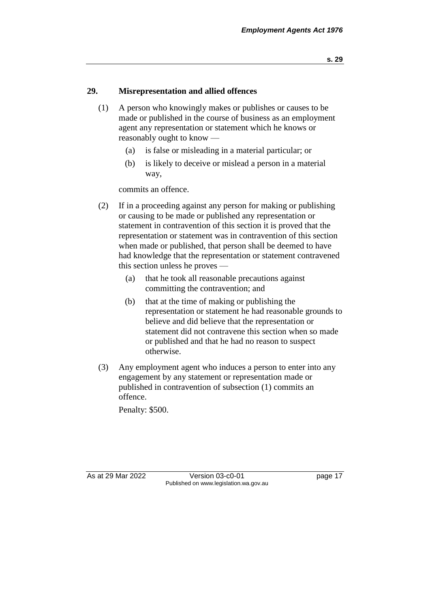## **29. Misrepresentation and allied offences**

- (1) A person who knowingly makes or publishes or causes to be made or published in the course of business as an employment agent any representation or statement which he knows or reasonably ought to know —
	- (a) is false or misleading in a material particular; or
	- (b) is likely to deceive or mislead a person in a material way,

commits an offence.

- (2) If in a proceeding against any person for making or publishing or causing to be made or published any representation or statement in contravention of this section it is proved that the representation or statement was in contravention of this section when made or published, that person shall be deemed to have had knowledge that the representation or statement contravened this section unless he proves —
	- (a) that he took all reasonable precautions against committing the contravention; and
	- (b) that at the time of making or publishing the representation or statement he had reasonable grounds to believe and did believe that the representation or statement did not contravene this section when so made or published and that he had no reason to suspect otherwise.
- (3) Any employment agent who induces a person to enter into any engagement by any statement or representation made or published in contravention of subsection (1) commits an offence.

Penalty: \$500.

As at 29 Mar 2022 Version 03-c0-01 page 17 Published on www.legislation.wa.gov.au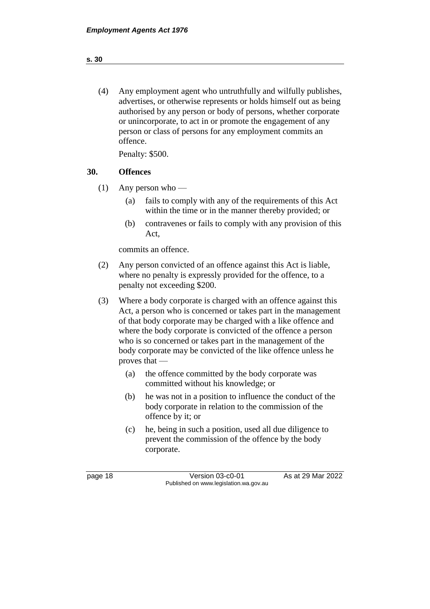(4) Any employment agent who untruthfully and wilfully publishes, advertises, or otherwise represents or holds himself out as being authorised by any person or body of persons, whether corporate or unincorporate, to act in or promote the engagement of any person or class of persons for any employment commits an offence.

Penalty: \$500.

### **30. Offences**

- (1) Any person who
	- (a) fails to comply with any of the requirements of this Act within the time or in the manner thereby provided; or
	- (b) contravenes or fails to comply with any provision of this Act,

commits an offence.

- (2) Any person convicted of an offence against this Act is liable, where no penalty is expressly provided for the offence, to a penalty not exceeding \$200.
- (3) Where a body corporate is charged with an offence against this Act, a person who is concerned or takes part in the management of that body corporate may be charged with a like offence and where the body corporate is convicted of the offence a person who is so concerned or takes part in the management of the body corporate may be convicted of the like offence unless he proves that —
	- (a) the offence committed by the body corporate was committed without his knowledge; or
	- (b) he was not in a position to influence the conduct of the body corporate in relation to the commission of the offence by it; or
	- (c) he, being in such a position, used all due diligence to prevent the commission of the offence by the body corporate.

page 18 Version 03-c0-01 As at 29 Mar 2022 Published on www.legislation.wa.gov.au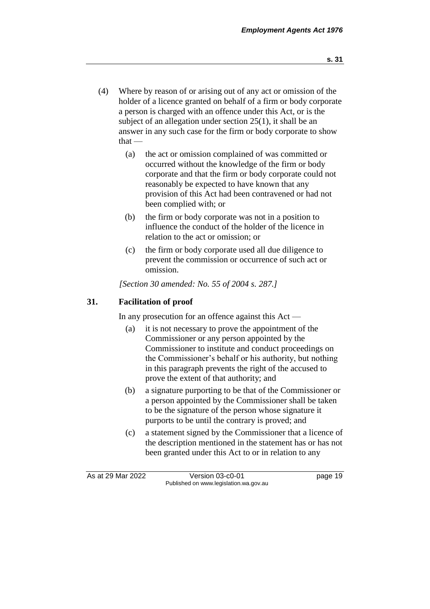- (4) Where by reason of or arising out of any act or omission of the holder of a licence granted on behalf of a firm or body corporate a person is charged with an offence under this Act, or is the subject of an allegation under section 25(1), it shall be an answer in any such case for the firm or body corporate to show  $that -$ 
	- (a) the act or omission complained of was committed or occurred without the knowledge of the firm or body corporate and that the firm or body corporate could not reasonably be expected to have known that any provision of this Act had been contravened or had not been complied with; or
	- (b) the firm or body corporate was not in a position to influence the conduct of the holder of the licence in relation to the act or omission; or
	- (c) the firm or body corporate used all due diligence to prevent the commission or occurrence of such act or omission.

*[Section 30 amended: No. 55 of 2004 s. 287.]*

## **31. Facilitation of proof**

In any prosecution for an offence against this Act —

- (a) it is not necessary to prove the appointment of the Commissioner or any person appointed by the Commissioner to institute and conduct proceedings on the Commissioner's behalf or his authority, but nothing in this paragraph prevents the right of the accused to prove the extent of that authority; and
- (b) a signature purporting to be that of the Commissioner or a person appointed by the Commissioner shall be taken to be the signature of the person whose signature it purports to be until the contrary is proved; and
- (c) a statement signed by the Commissioner that a licence of the description mentioned in the statement has or has not been granted under this Act to or in relation to any

As at 29 Mar 2022 Version 03-c0-01 page 19 Published on www.legislation.wa.gov.au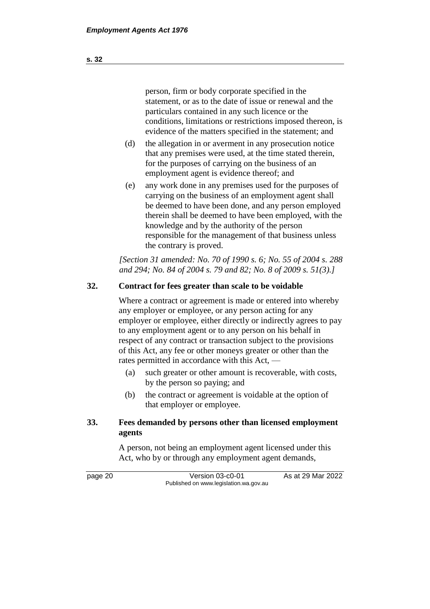person, firm or body corporate specified in the statement, or as to the date of issue or renewal and the particulars contained in any such licence or the conditions, limitations or restrictions imposed thereon, is evidence of the matters specified in the statement; and

- (d) the allegation in or averment in any prosecution notice that any premises were used, at the time stated therein, for the purposes of carrying on the business of an employment agent is evidence thereof; and
- (e) any work done in any premises used for the purposes of carrying on the business of an employment agent shall be deemed to have been done, and any person employed therein shall be deemed to have been employed, with the knowledge and by the authority of the person responsible for the management of that business unless the contrary is proved.

*[Section 31 amended: No. 70 of 1990 s. 6; No. 55 of 2004 s. 288 and 294; No. 84 of 2004 s. 79 and 82; No. 8 of 2009 s. 51(3).]* 

#### **32. Contract for fees greater than scale to be voidable**

Where a contract or agreement is made or entered into whereby any employer or employee, or any person acting for any employer or employee, either directly or indirectly agrees to pay to any employment agent or to any person on his behalf in respect of any contract or transaction subject to the provisions of this Act, any fee or other moneys greater or other than the rates permitted in accordance with this Act, —

- (a) such greater or other amount is recoverable, with costs, by the person so paying; and
- (b) the contract or agreement is voidable at the option of that employer or employee.

## **33. Fees demanded by persons other than licensed employment agents**

A person, not being an employment agent licensed under this Act, who by or through any employment agent demands,

page 20 **Version 03-c0-01** As at 29 Mar 2022 Published on www.legislation.wa.gov.au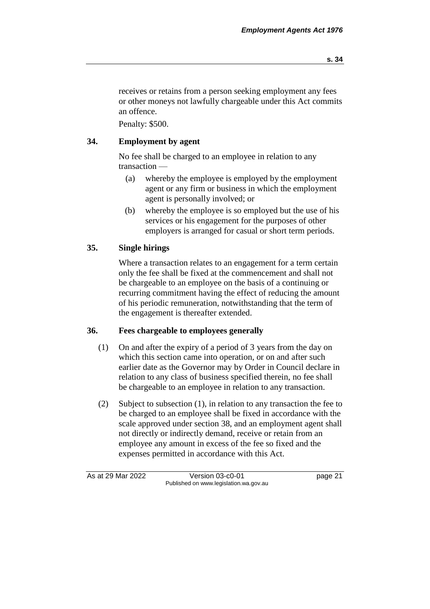receives or retains from a person seeking employment any fees or other moneys not lawfully chargeable under this Act commits an offence.

Penalty: \$500.

## **34. Employment by agent**

No fee shall be charged to an employee in relation to any transaction —

- (a) whereby the employee is employed by the employment agent or any firm or business in which the employment agent is personally involved; or
- (b) whereby the employee is so employed but the use of his services or his engagement for the purposes of other employers is arranged for casual or short term periods.

## **35. Single hirings**

Where a transaction relates to an engagement for a term certain only the fee shall be fixed at the commencement and shall not be chargeable to an employee on the basis of a continuing or recurring commitment having the effect of reducing the amount of his periodic remuneration, notwithstanding that the term of the engagement is thereafter extended.

## **36. Fees chargeable to employees generally**

- (1) On and after the expiry of a period of 3 years from the day on which this section came into operation, or on and after such earlier date as the Governor may by Order in Council declare in relation to any class of business specified therein, no fee shall be chargeable to an employee in relation to any transaction.
- (2) Subject to subsection (1), in relation to any transaction the fee to be charged to an employee shall be fixed in accordance with the scale approved under section 38, and an employment agent shall not directly or indirectly demand, receive or retain from an employee any amount in excess of the fee so fixed and the expenses permitted in accordance with this Act.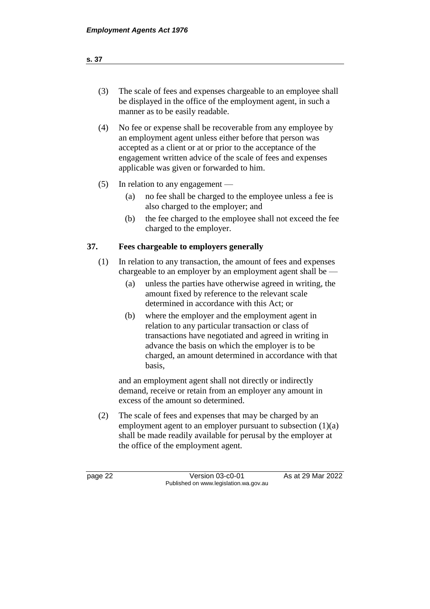| (3) | The scale of fees and expenses chargeable to an employee shall |
|-----|----------------------------------------------------------------|
|     | be displayed in the office of the employment agent, in such a  |
|     | manner as to be easily readable.                               |

- (4) No fee or expense shall be recoverable from any employee by an employment agent unless either before that person was accepted as a client or at or prior to the acceptance of the engagement written advice of the scale of fees and expenses applicable was given or forwarded to him.
- (5) In relation to any engagement
	- (a) no fee shall be charged to the employee unless a fee is also charged to the employer; and
	- (b) the fee charged to the employee shall not exceed the fee charged to the employer.

## **37. Fees chargeable to employers generally**

- (1) In relation to any transaction, the amount of fees and expenses chargeable to an employer by an employment agent shall be —
	- (a) unless the parties have otherwise agreed in writing, the amount fixed by reference to the relevant scale determined in accordance with this Act; or
	- (b) where the employer and the employment agent in relation to any particular transaction or class of transactions have negotiated and agreed in writing in advance the basis on which the employer is to be charged, an amount determined in accordance with that basis,

and an employment agent shall not directly or indirectly demand, receive or retain from an employer any amount in excess of the amount so determined.

(2) The scale of fees and expenses that may be charged by an employment agent to an employer pursuant to subsection  $(1)(a)$ shall be made readily available for perusal by the employer at the office of the employment agent.

page 22 Version 03-c0-01 As at 29 Mar 2022 Published on www.legislation.wa.gov.au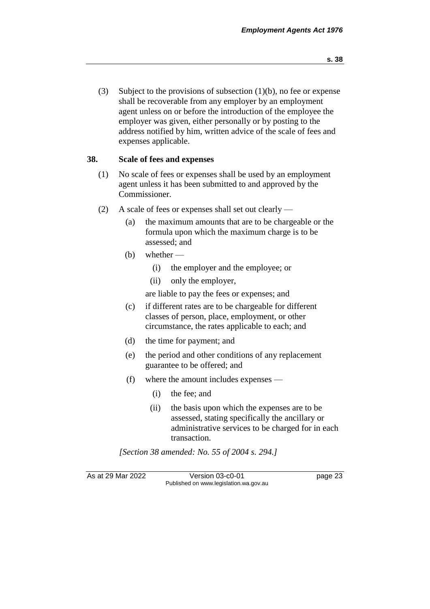(3) Subject to the provisions of subsection  $(1)(b)$ , no fee or expense shall be recoverable from any employer by an employment agent unless on or before the introduction of the employee the employer was given, either personally or by posting to the address notified by him, written advice of the scale of fees and expenses applicable.

## **38. Scale of fees and expenses**

- (1) No scale of fees or expenses shall be used by an employment agent unless it has been submitted to and approved by the Commissioner.
- (2) A scale of fees or expenses shall set out clearly
	- (a) the maximum amounts that are to be chargeable or the formula upon which the maximum charge is to be assessed; and
	- (b) whether
		- (i) the employer and the employee; or
		- (ii) only the employer,

are liable to pay the fees or expenses; and

- (c) if different rates are to be chargeable for different classes of person, place, employment, or other circumstance, the rates applicable to each; and
- (d) the time for payment; and
- (e) the period and other conditions of any replacement guarantee to be offered; and
- (f) where the amount includes expenses
	- (i) the fee; and
	- (ii) the basis upon which the expenses are to be assessed, stating specifically the ancillary or administrative services to be charged for in each transaction.

*[Section 38 amended: No. 55 of 2004 s. 294.]*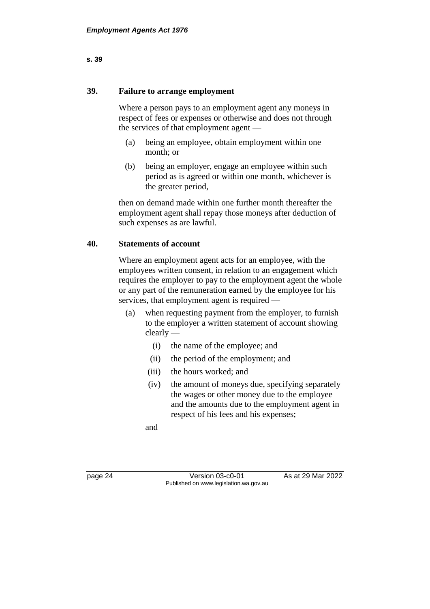## **39. Failure to arrange employment**

Where a person pays to an employment agent any moneys in respect of fees or expenses or otherwise and does not through the services of that employment agent —

- (a) being an employee, obtain employment within one month; or
- (b) being an employer, engage an employee within such period as is agreed or within one month, whichever is the greater period,

then on demand made within one further month thereafter the employment agent shall repay those moneys after deduction of such expenses as are lawful.

#### **40. Statements of account**

Where an employment agent acts for an employee, with the employees written consent, in relation to an engagement which requires the employer to pay to the employment agent the whole or any part of the remuneration earned by the employee for his services, that employment agent is required —

- (a) when requesting payment from the employer, to furnish to the employer a written statement of account showing clearly —
	- (i) the name of the employee; and
	- (ii) the period of the employment; and
	- (iii) the hours worked; and
	- (iv) the amount of moneys due, specifying separately the wages or other money due to the employee and the amounts due to the employment agent in respect of his fees and his expenses;

and

page 24 Version 03-c0-01 As at 29 Mar 2022 Published on www.legislation.wa.gov.au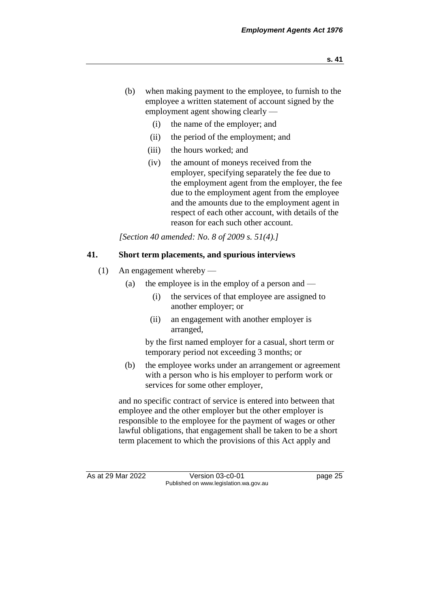- (b) when making payment to the employee, to furnish to the employee a written statement of account signed by the employment agent showing clearly —
	- (i) the name of the employer; and
	- (ii) the period of the employment; and
	- (iii) the hours worked; and
	- (iv) the amount of moneys received from the employer, specifying separately the fee due to the employment agent from the employer, the fee due to the employment agent from the employee and the amounts due to the employment agent in respect of each other account, with details of the reason for each such other account.

*[Section 40 amended: No. 8 of 2009 s. 51(4).]*

## **41. Short term placements, and spurious interviews**

- (1) An engagement whereby
	- (a) the employee is in the employ of a person and
		- (i) the services of that employee are assigned to another employer; or
		- (ii) an engagement with another employer is arranged,

by the first named employer for a casual, short term or temporary period not exceeding 3 months; or

(b) the employee works under an arrangement or agreement with a person who is his employer to perform work or services for some other employer,

and no specific contract of service is entered into between that employee and the other employer but the other employer is responsible to the employee for the payment of wages or other lawful obligations, that engagement shall be taken to be a short term placement to which the provisions of this Act apply and

As at 29 Mar 2022 Version 03-c0-01 page 25 Published on www.legislation.wa.gov.au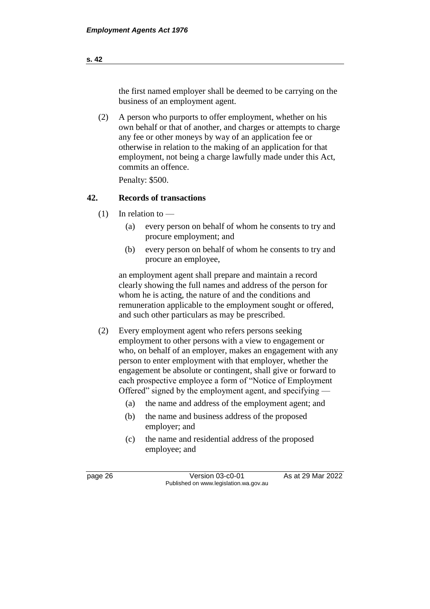the first named employer shall be deemed to be carrying on the business of an employment agent.

(2) A person who purports to offer employment, whether on his own behalf or that of another, and charges or attempts to charge any fee or other moneys by way of an application fee or otherwise in relation to the making of an application for that employment, not being a charge lawfully made under this Act, commits an offence.

Penalty: \$500.

## **42. Records of transactions**

- $(1)$  In relation to
	- (a) every person on behalf of whom he consents to try and procure employment; and
	- (b) every person on behalf of whom he consents to try and procure an employee,

an employment agent shall prepare and maintain a record clearly showing the full names and address of the person for whom he is acting, the nature of and the conditions and remuneration applicable to the employment sought or offered, and such other particulars as may be prescribed.

- (2) Every employment agent who refers persons seeking employment to other persons with a view to engagement or who, on behalf of an employer, makes an engagement with any person to enter employment with that employer, whether the engagement be absolute or contingent, shall give or forward to each prospective employee a form of "Notice of Employment Offered" signed by the employment agent, and specifying —
	- (a) the name and address of the employment agent; and
	- (b) the name and business address of the proposed employer; and
	- (c) the name and residential address of the proposed employee; and

page 26 Version 03-c0-01 As at 29 Mar 2022 Published on www.legislation.wa.gov.au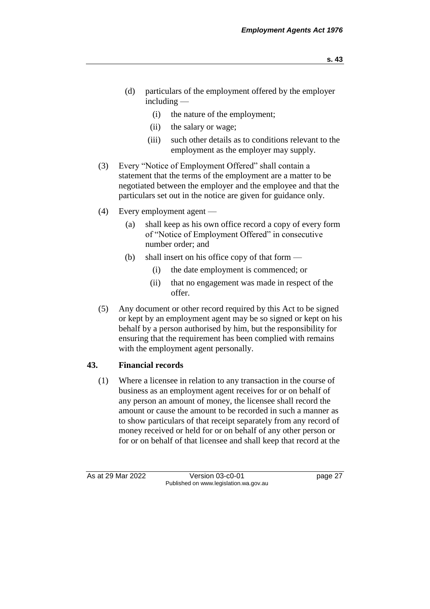- (d) particulars of the employment offered by the employer including —
	- (i) the nature of the employment;
	- (ii) the salary or wage;
	- (iii) such other details as to conditions relevant to the employment as the employer may supply.
- (3) Every "Notice of Employment Offered" shall contain a statement that the terms of the employment are a matter to be negotiated between the employer and the employee and that the particulars set out in the notice are given for guidance only.
- (4) Every employment agent
	- (a) shall keep as his own office record a copy of every form of "Notice of Employment Offered" in consecutive number order; and
	- (b) shall insert on his office copy of that form  $-$ 
		- (i) the date employment is commenced; or
		- (ii) that no engagement was made in respect of the offer.
- (5) Any document or other record required by this Act to be signed or kept by an employment agent may be so signed or kept on his behalf by a person authorised by him, but the responsibility for ensuring that the requirement has been complied with remains with the employment agent personally.

## **43. Financial records**

(1) Where a licensee in relation to any transaction in the course of business as an employment agent receives for or on behalf of any person an amount of money, the licensee shall record the amount or cause the amount to be recorded in such a manner as to show particulars of that receipt separately from any record of money received or held for or on behalf of any other person or for or on behalf of that licensee and shall keep that record at the

As at 29 Mar 2022 Version 03-c0-01 page 27 Published on www.legislation.wa.gov.au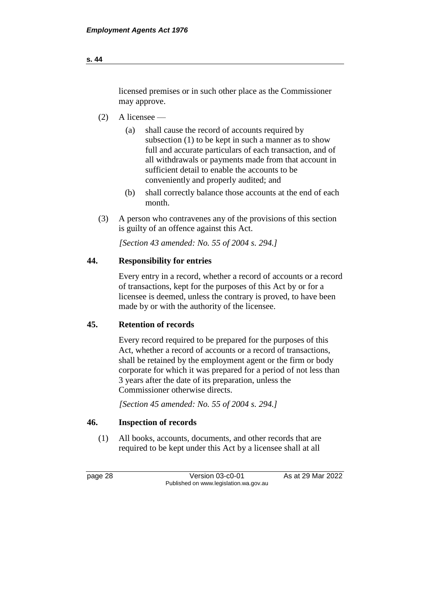## licensed premises or in such other place as the Commissioner may approve.

- (2) A licensee
	- (a) shall cause the record of accounts required by subsection (1) to be kept in such a manner as to show full and accurate particulars of each transaction, and of all withdrawals or payments made from that account in sufficient detail to enable the accounts to be conveniently and properly audited; and
	- (b) shall correctly balance those accounts at the end of each month.
- (3) A person who contravenes any of the provisions of this section is guilty of an offence against this Act.

*[Section 43 amended: No. 55 of 2004 s. 294.]*

## **44. Responsibility for entries**

Every entry in a record, whether a record of accounts or a record of transactions, kept for the purposes of this Act by or for a licensee is deemed, unless the contrary is proved, to have been made by or with the authority of the licensee.

## **45. Retention of records**

Every record required to be prepared for the purposes of this Act, whether a record of accounts or a record of transactions, shall be retained by the employment agent or the firm or body corporate for which it was prepared for a period of not less than 3 years after the date of its preparation, unless the Commissioner otherwise directs.

*[Section 45 amended: No. 55 of 2004 s. 294.]*

#### **46. Inspection of records**

(1) All books, accounts, documents, and other records that are required to be kept under this Act by a licensee shall at all

page 28 Version 03-c0-01 As at 29 Mar 2022 Published on www.legislation.wa.gov.au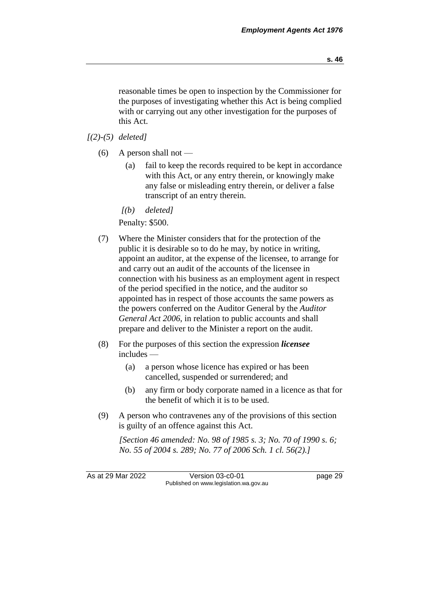**s. 46**

reasonable times be open to inspection by the Commissioner for the purposes of investigating whether this Act is being complied with or carrying out any other investigation for the purposes of this Act.

*[(2)-(5) deleted]*

- $(6)$  A person shall not
	- (a) fail to keep the records required to be kept in accordance with this Act, or any entry therein, or knowingly make any false or misleading entry therein, or deliver a false transcript of an entry therein.
	- *[(b) deleted]*

Penalty: \$500.

- (7) Where the Minister considers that for the protection of the public it is desirable so to do he may, by notice in writing, appoint an auditor, at the expense of the licensee, to arrange for and carry out an audit of the accounts of the licensee in connection with his business as an employment agent in respect of the period specified in the notice, and the auditor so appointed has in respect of those accounts the same powers as the powers conferred on the Auditor General by the *Auditor General Act 2006*, in relation to public accounts and shall prepare and deliver to the Minister a report on the audit.
- (8) For the purposes of this section the expression *licensee* includes —
	- (a) a person whose licence has expired or has been cancelled, suspended or surrendered; and
	- (b) any firm or body corporate named in a licence as that for the benefit of which it is to be used.
- (9) A person who contravenes any of the provisions of this section is guilty of an offence against this Act.

*[Section 46 amended: No. 98 of 1985 s. 3; No. 70 of 1990 s. 6; No. 55 of 2004 s. 289; No. 77 of 2006 Sch. 1 cl. 56(2).]* 

As at 29 Mar 2022 Version 03-c0-01 page 29 Published on www.legislation.wa.gov.au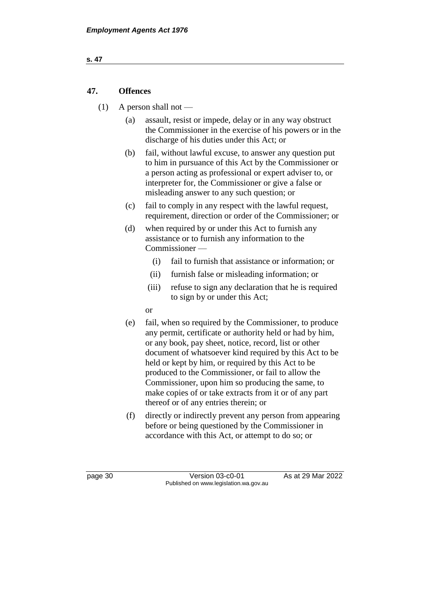## **47. Offences**

- $(1)$  A person shall not
	- (a) assault, resist or impede, delay or in any way obstruct the Commissioner in the exercise of his powers or in the discharge of his duties under this Act; or
	- (b) fail, without lawful excuse, to answer any question put to him in pursuance of this Act by the Commissioner or a person acting as professional or expert adviser to, or interpreter for, the Commissioner or give a false or misleading answer to any such question; or
	- (c) fail to comply in any respect with the lawful request, requirement, direction or order of the Commissioner; or
	- (d) when required by or under this Act to furnish any assistance or to furnish any information to the Commissioner —
		- (i) fail to furnish that assistance or information; or
		- (ii) furnish false or misleading information; or
		- (iii) refuse to sign any declaration that he is required to sign by or under this Act;
		- or
	- (e) fail, when so required by the Commissioner, to produce any permit, certificate or authority held or had by him, or any book, pay sheet, notice, record, list or other document of whatsoever kind required by this Act to be held or kept by him, or required by this Act to be produced to the Commissioner, or fail to allow the Commissioner, upon him so producing the same, to make copies of or take extracts from it or of any part thereof or of any entries therein; or
	- (f) directly or indirectly prevent any person from appearing before or being questioned by the Commissioner in accordance with this Act, or attempt to do so; or

page 30 Version 03-c0-01 As at 29 Mar 2022 Published on www.legislation.wa.gov.au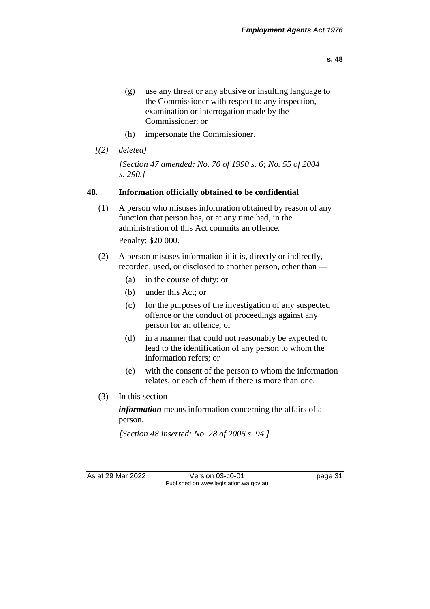- (g) use any threat or any abusive or insulting language to the Commissioner with respect to any inspection, examination or interrogation made by the Commissioner; or
- (h) impersonate the Commissioner.
- *[(2) deleted]*

*[Section 47 amended: No. 70 of 1990 s. 6; No. 55 of 2004 s. 290.]* 

## **48. Information officially obtained to be confidential**

- (1) A person who misuses information obtained by reason of any function that person has, or at any time had, in the administration of this Act commits an offence. Penalty: \$20 000.
- (2) A person misuses information if it is, directly or indirectly, recorded, used, or disclosed to another person, other than —
	- (a) in the course of duty; or
	- (b) under this Act; or
	- (c) for the purposes of the investigation of any suspected offence or the conduct of proceedings against any person for an offence; or
	- (d) in a manner that could not reasonably be expected to lead to the identification of any person to whom the information refers; or
	- (e) with the consent of the person to whom the information relates, or each of them if there is more than one.
- (3) In this section —

*information* means information concerning the affairs of a person.

*[Section 48 inserted: No. 28 of 2006 s. 94.]*

As at 29 Mar 2022 Version 03-c0-01 page 31 Published on www.legislation.wa.gov.au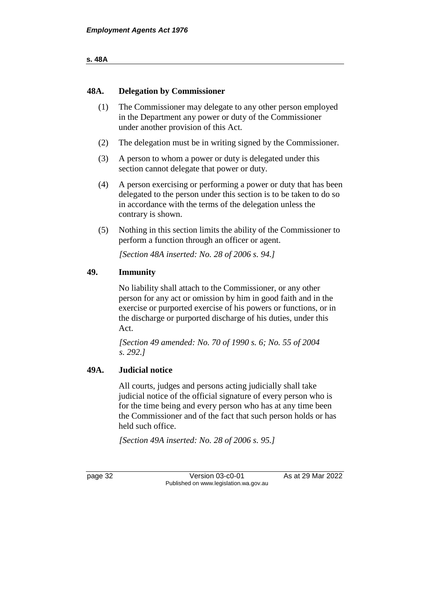### **48A. Delegation by Commissioner**

- (1) The Commissioner may delegate to any other person employed in the Department any power or duty of the Commissioner under another provision of this Act.
- (2) The delegation must be in writing signed by the Commissioner.
- (3) A person to whom a power or duty is delegated under this section cannot delegate that power or duty.
- (4) A person exercising or performing a power or duty that has been delegated to the person under this section is to be taken to do so in accordance with the terms of the delegation unless the contrary is shown.
- (5) Nothing in this section limits the ability of the Commissioner to perform a function through an officer or agent.

*[Section 48A inserted: No. 28 of 2006 s. 94.]*

## **49. Immunity**

No liability shall attach to the Commissioner, or any other person for any act or omission by him in good faith and in the exercise or purported exercise of his powers or functions, or in the discharge or purported discharge of his duties, under this Act.

*[Section 49 amended: No. 70 of 1990 s. 6; No. 55 of 2004 s. 292.]* 

## **49A. Judicial notice**

All courts, judges and persons acting judicially shall take judicial notice of the official signature of every person who is for the time being and every person who has at any time been the Commissioner and of the fact that such person holds or has held such office.

*[Section 49A inserted: No. 28 of 2006 s. 95.]*

page 32 Version 03-c0-01 As at 29 Mar 2022 Published on www.legislation.wa.gov.au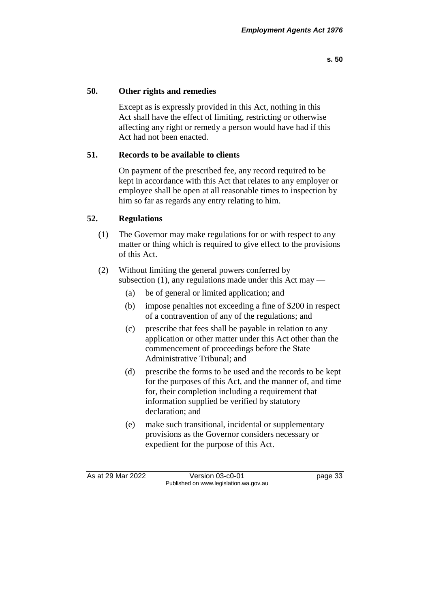## **50. Other rights and remedies**

Except as is expressly provided in this Act, nothing in this Act shall have the effect of limiting, restricting or otherwise affecting any right or remedy a person would have had if this Act had not been enacted.

## **51. Records to be available to clients**

On payment of the prescribed fee, any record required to be kept in accordance with this Act that relates to any employer or employee shall be open at all reasonable times to inspection by him so far as regards any entry relating to him.

## **52. Regulations**

(1) The Governor may make regulations for or with respect to any matter or thing which is required to give effect to the provisions of this Act.

## (2) Without limiting the general powers conferred by subsection  $(1)$ , any regulations made under this Act may —

- (a) be of general or limited application; and
- (b) impose penalties not exceeding a fine of \$200 in respect of a contravention of any of the regulations; and
- (c) prescribe that fees shall be payable in relation to any application or other matter under this Act other than the commencement of proceedings before the State Administrative Tribunal; and
- (d) prescribe the forms to be used and the records to be kept for the purposes of this Act, and the manner of, and time for, their completion including a requirement that information supplied be verified by statutory declaration; and
- (e) make such transitional, incidental or supplementary provisions as the Governor considers necessary or expedient for the purpose of this Act.

As at 29 Mar 2022 Version 03-c0-01 page 33 Published on www.legislation.wa.gov.au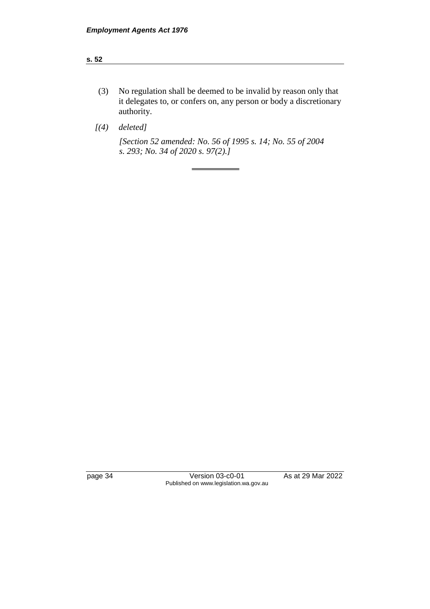#### **s. 52**

(3) No regulation shall be deemed to be invalid by reason only that it delegates to, or confers on, any person or body a discretionary authority.

*[(4) deleted]*

*[Section 52 amended: No. 56 of 1995 s. 14; No. 55 of 2004 s. 293; No. 34 of 2020 s. 97(2).]* 

page 34 Version 03-c0-01 As at 29 Mar 2022 Published on www.legislation.wa.gov.au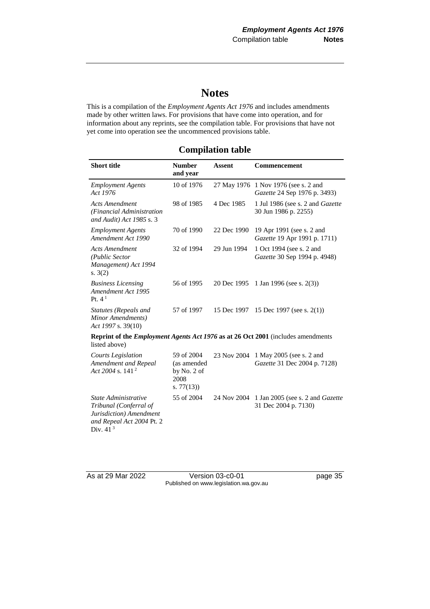# **Notes**

This is a compilation of the *Employment Agents Act 1976* and includes amendments made by other written laws. For provisions that have come into operation, and for information about any reprints, see the compilation table. For provisions that have not yet come into operation see the uncommenced provisions table.

## **Compilation table**

| <b>Short title</b>                                                                                                   | <b>Number</b><br>and year                                     | <b>Assent</b> | <b>Commencement</b>                                                  |  |
|----------------------------------------------------------------------------------------------------------------------|---------------------------------------------------------------|---------------|----------------------------------------------------------------------|--|
| <b>Employment Agents</b><br>Act 1976                                                                                 | 10 of 1976                                                    |               | 27 May 1976 1 Nov 1976 (see s. 2 and<br>Gazette 24 Sep 1976 p. 3493) |  |
| <b>Acts Amendment</b><br>(Financial Administration<br>and Audit) Act 1985 s. 3                                       | 98 of 1985                                                    | 4 Dec 1985    | 1 Jul 1986 (see s. 2 and Gazette<br>30 Jun 1986 p. 2255)             |  |
| <b>Employment Agents</b><br>Amendment Act 1990                                                                       | 70 of 1990                                                    | 22 Dec 1990   | 19 Apr 1991 (see s. 2 and<br>Gazette 19 Apr 1991 p. 1711)            |  |
| <b>Acts Amendment</b><br>(Public Sector<br>Management) Act 1994<br>s. $3(2)$                                         | 32 of 1994                                                    | 29 Jun 1994   | 1 Oct 1994 (see s. 2 and<br>Gazette 30 Sep 1994 p. 4948)             |  |
| <b>Business Licensing</b><br>Amendment Act 1995<br>Pt. $4^1$                                                         | 56 of 1995                                                    | 20 Dec 1995   | 1 Jan 1996 (see s. $2(3)$ )                                          |  |
| Statutes (Repeals and<br>Minor Amendments)<br>Act 1997 s. 39(10)                                                     | 57 of 1997                                                    | 15 Dec 1997   | 15 Dec 1997 (see s. $2(1)$ )                                         |  |
| Reprint of the <i>Employment Agents Act 1976</i> as at 26 Oct 2001 (includes amendments<br>listed above)             |                                                               |               |                                                                      |  |
| <b>Courts Legislation</b><br>Amendment and Repeal<br>Act 2004 s. 141 <sup>2</sup>                                    | 59 of 2004<br>(as amended<br>by No. 2 of<br>2008<br>s. 77(13) | 23 Nov 2004   | 1 May 2005 (see s. 2 and<br>Gazette 31 Dec 2004 p. 7128)             |  |
| State Administrative<br>Tribunal (Conferral of<br>Jurisdiction) Amendment<br>and Repeal Act 2004 Pt. 2<br>Div. $413$ | 55 of 2004                                                    | 24 Nov 2004   | 1 Jan 2005 (see s. 2 and <i>Gazette</i><br>31 Dec 2004 p. 7130)      |  |

As at 29 Mar 2022 Version 03-c0-01 page 35 Published on www.legislation.wa.gov.au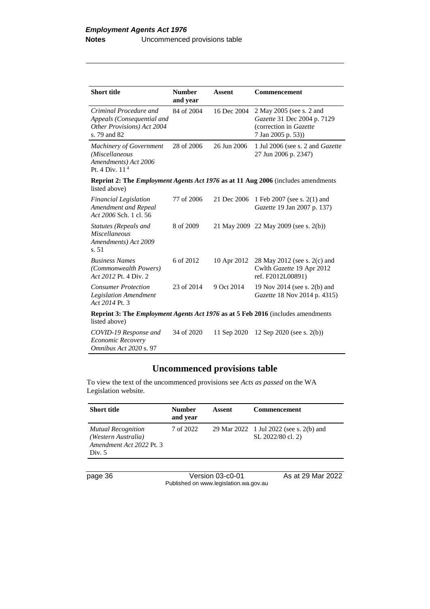| <b>Short title</b>                                                                                      | <b>Number</b><br>and year              | <b>Assent</b>                  | Commencement                                                                                             |
|---------------------------------------------------------------------------------------------------------|----------------------------------------|--------------------------------|----------------------------------------------------------------------------------------------------------|
| Criminal Procedure and<br>Appeals (Consequential and<br>Other Provisions) Act 2004<br>s. 79 and 82      | 84 of 2004                             | 16 Dec 2004                    | 2 May 2005 (see s. 2 and<br>Gazette 31 Dec 2004 p. 7129<br>(correction in Gazette)<br>7 Jan 2005 p. 53)) |
| <b>Machinery of Government</b><br>(Miscellaneous<br>Amendments) Act 2006<br>Pt. 4 Div. $114$            | 28 of 2006                             | 26 Jun 2006                    | 1 Jul 2006 (see s. 2 and <i>Gazette</i><br>27 Jun 2006 p. 2347)                                          |
| listed above)                                                                                           |                                        |                                | <b>Reprint 2: The <i>Employment Agents Act 1976</i></b> as at 11 Aug 2006 (includes amendments           |
| <b>Financial Legislation</b><br>Amendment and Repeal<br>Act 2006 Sch. 1 cl. 56                          | 77 of 2006                             | 21 Dec 2006                    | 1 Feb 2007 (see s. 2(1) and<br><i>Gazette</i> 19 Jan 2007 p. 137)                                        |
| Statutes (Repeals and<br><i>Miscellaneous</i><br>Amendments) Act 2009<br>s.51                           | 8 of 2009                              |                                | 21 May 2009 22 May 2009 (see s. 2(b))                                                                    |
| <b>Business Names</b><br>(Commonwealth Powers)<br>Act 2012 Pt. 4 Div. 2                                 | 6 of 2012                              | 10 Apr 2012                    | 28 May 2012 (see s. 2(c) and<br>Cwlth Gazette 19 Apr 2012<br>ref. F2012L00891)                           |
| <b>Consumer Protection</b><br><b>Legislation Amendment</b><br>Act 2014 Pt. 3                            | 23 of 2014                             | 9 Oct 2014                     | 19 Nov 2014 (see s. 2(b) and<br><i>Gazette</i> 18 Nov 2014 p. 4315)                                      |
| <b>Reprint 3: The Employment Agents Act 1976 as at 5 Feb 2016</b> (includes amendments<br>listed above) |                                        |                                |                                                                                                          |
|                                                                                                         | $\mathbf{a}$ $\mathbf{a}$ $\mathbf{a}$ | $\sim$<br>$\sim$ $\sim$ $\sim$ |                                                                                                          |

*COVID-19 Response and Economic Recovery Omnibus Act 2020* s. 97 34 of 2020 11 Sep 2020 12 Sep 2020 (see s. 2(b))

## **Uncommenced provisions table**

To view the text of the uncommenced provisions see *Acts as passed* on the WA Legislation website.

| <b>Short title</b>                                                                     | <b>Number</b><br>and year | Assent | <b>Commencement</b>                                          |
|----------------------------------------------------------------------------------------|---------------------------|--------|--------------------------------------------------------------|
| <b>Mutual Recognition</b><br>(Western Australia)<br>Amendment Act 2022 Pt. 3<br>Div. 5 | 7 of 2022                 |        | 29 Mar 2022 1 Jul 2022 (see s. 2(b) and<br>SL 2022/80 cl. 2) |

page 36 Version 03-c0-01 As at 29 Mar 2022 Published on www.legislation.wa.gov.au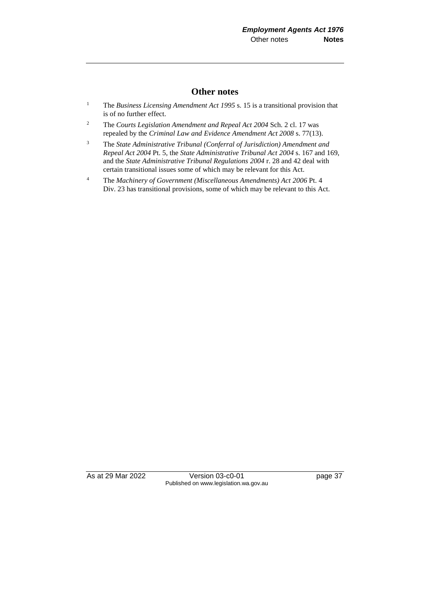## **Other notes**

- <sup>1</sup> The *Business Licensing Amendment Act 1995* s. 15 is a transitional provision that is of no further effect.
- <sup>2</sup> The *Courts Legislation Amendment and Repeal Act 2004* Sch. 2 cl. 17 was repealed by the *Criminal Law and Evidence Amendment Act 2008* s. 77(13).
- <sup>3</sup> The *State Administrative Tribunal (Conferral of Jurisdiction) Amendment and Repeal Act 2004* Pt. 5, the *State Administrative Tribunal Act 2004* s. 167 and 169, and the *State Administrative Tribunal Regulations 2004* r. 28 and 42 deal with certain transitional issues some of which may be relevant for this Act.
- <sup>4</sup> The *Machinery of Government (Miscellaneous Amendments) Act 2006* Pt. 4 Div. 23 has transitional provisions, some of which may be relevant to this Act.

As at 29 Mar 2022 Version 03-c0-01 page 37 Published on www.legislation.wa.gov.au